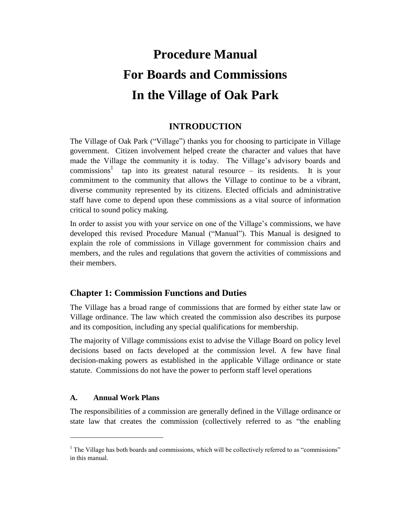# **Procedure Manual For Boards and Commissions In the Village of Oak Park**

## **INTRODUCTION**

The Village of Oak Park ("Village") thanks you for choosing to participate in Village government. Citizen involvement helped create the character and values that have made the Village the community it is today. The Village's advisory boards and commissions<sup>1</sup> tap into its greatest natural resource – its residents. It is your commitment to the community that allows the Village to continue to be a vibrant, diverse community represented by its citizens. Elected officials and administrative staff have come to depend upon these commissions as a vital source of information critical to sound policy making.

In order to assist you with your service on one of the Village's commissions, we have developed this revised Procedure Manual ("Manual"). This Manual is designed to explain the role of commissions in Village government for commission chairs and members, and the rules and regulations that govern the activities of commissions and their members.

## **Chapter 1: Commission Functions and Duties**

The Village has a broad range of commissions that are formed by either state law or Village ordinance. The law which created the commission also describes its purpose and its composition, including any special qualifications for membership.

The majority of Village commissions exist to advise the Village Board on policy level decisions based on facts developed at the commission level. A few have final decision-making powers as established in the applicable Village ordinance or state statute. Commissions do not have the power to perform staff level operations

#### **A. Annual Work Plans**

 $\overline{a}$ 

The responsibilities of a commission are generally defined in the Village ordinance or state law that creates the commission (collectively referred to as "the enabling

 $<sup>1</sup>$  The Village has both boards and commissions, which will be collectively referred to as "commissions"</sup> in this manual.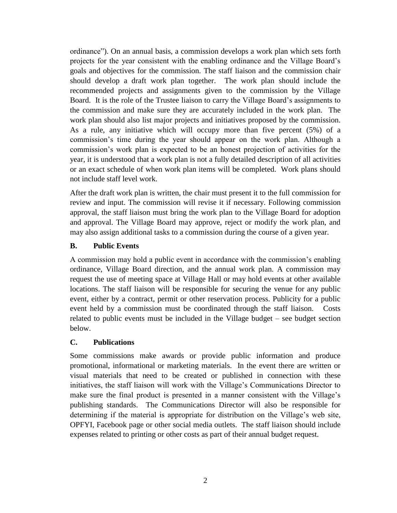ordinance"). On an annual basis, a commission develops a work plan which sets forth projects for the year consistent with the enabling ordinance and the Village Board's goals and objectives for the commission. The staff liaison and the commission chair should develop a draft work plan together. The work plan should include the recommended projects and assignments given to the commission by the Village Board. It is the role of the Trustee liaison to carry the Village Board's assignments to the commission and make sure they are accurately included in the work plan. The work plan should also list major projects and initiatives proposed by the commission. As a rule, any initiative which will occupy more than five percent (5%) of a commission's time during the year should appear on the work plan. Although a commission's work plan is expected to be an honest projection of activities for the year, it is understood that a work plan is not a fully detailed description of all activities or an exact schedule of when work plan items will be completed. Work plans should not include staff level work.

After the draft work plan is written, the chair must present it to the full commission for review and input. The commission will revise it if necessary. Following commission approval, the staff liaison must bring the work plan to the Village Board for adoption and approval. The Village Board may approve, reject or modify the work plan, and may also assign additional tasks to a commission during the course of a given year.

#### **B. Public Events**

A commission may hold a public event in accordance with the commission's enabling ordinance, Village Board direction, and the annual work plan. A commission may request the use of meeting space at Village Hall or may hold events at other available locations. The staff liaison will be responsible for securing the venue for any public event, either by a contract, permit or other reservation process. Publicity for a public event held by a commission must be coordinated through the staff liaison. Costs related to public events must be included in the Village budget – see budget section below.

#### **C. Publications**

Some commissions make awards or provide public information and produce promotional, informational or marketing materials. In the event there are written or visual materials that need to be created or published in connection with these initiatives, the staff liaison will work with the Village's Communications Director to make sure the final product is presented in a manner consistent with the Village's publishing standards. The Communications Director will also be responsible for determining if the material is appropriate for distribution on the Village's web site, OPFYI, Facebook page or other social media outlets. The staff liaison should include expenses related to printing or other costs as part of their annual budget request.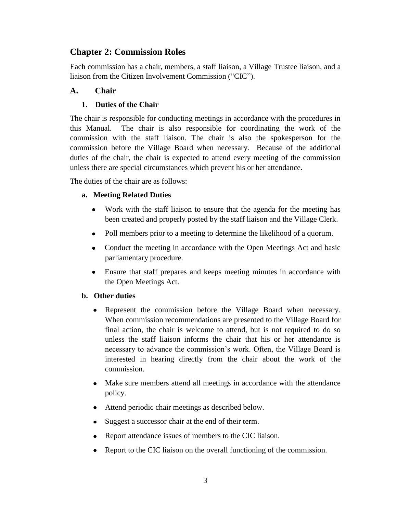## **Chapter 2: Commission Roles**

Each commission has a chair, members, a staff liaison, a Village Trustee liaison, and a liaison from the Citizen Involvement Commission ("CIC").

## **A. Chair**

## **1. Duties of the Chair**

The chair is responsible for conducting meetings in accordance with the procedures in this Manual. The chair is also responsible for coordinating the work of the commission with the staff liaison. The chair is also the spokesperson for the commission before the Village Board when necessary. Because of the additional duties of the chair, the chair is expected to attend every meeting of the commission unless there are special circumstances which prevent his or her attendance.

The duties of the chair are as follows:

## **a. Meeting Related Duties**

- $\bullet$ Work with the staff liaison to ensure that the agenda for the meeting has been created and properly posted by the staff liaison and the Village Clerk.
- Poll members prior to a meeting to determine the likelihood of a quorum.  $\bullet$
- Conduct the meeting in accordance with the Open Meetings Act and basic parliamentary procedure.
- Ensure that staff prepares and keeps meeting minutes in accordance with the Open Meetings Act.

## **b. Other duties**

- Represent the commission before the Village Board when necessary. When commission recommendations are presented to the Village Board for final action, the chair is welcome to attend, but is not required to do so unless the staff liaison informs the chair that his or her attendance is necessary to advance the commission's work. Often, the Village Board is interested in hearing directly from the chair about the work of the commission.
- Make sure members attend all meetings in accordance with the attendance policy.
- $\bullet$ Attend periodic chair meetings as described below.
- Suggest a successor chair at the end of their term.  $\bullet$
- Report attendance issues of members to the CIC liaison.  $\bullet$
- Report to the CIC liaison on the overall functioning of the commission.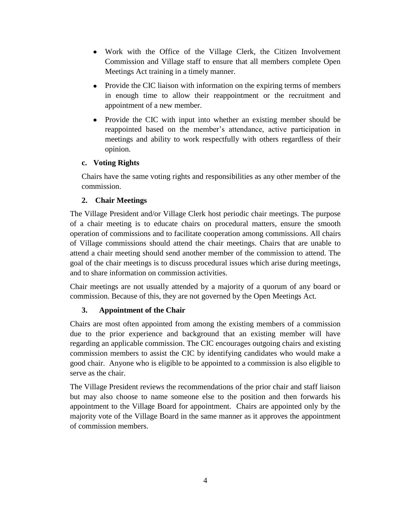- Work with the Office of the Village Clerk, the Citizen Involvement Commission and Village staff to ensure that all members complete Open Meetings Act training in a timely manner.
- Provide the CIC liaison with information on the expiring terms of members in enough time to allow their reappointment or the recruitment and appointment of a new member.
- Provide the CIC with input into whether an existing member should be  $\bullet$ reappointed based on the member's attendance, active participation in meetings and ability to work respectfully with others regardless of their opinion.

#### **c. Voting Rights**

Chairs have the same voting rights and responsibilities as any other member of the commission.

## **2. Chair Meetings**

The Village President and/or Village Clerk host periodic chair meetings. The purpose of a chair meeting is to educate chairs on procedural matters, ensure the smooth operation of commissions and to facilitate cooperation among commissions. All chairs of Village commissions should attend the chair meetings. Chairs that are unable to attend a chair meeting should send another member of the commission to attend. The goal of the chair meetings is to discuss procedural issues which arise during meetings, and to share information on commission activities.

Chair meetings are not usually attended by a majority of a quorum of any board or commission. Because of this, they are not governed by the Open Meetings Act.

## **3. Appointment of the Chair**

Chairs are most often appointed from among the existing members of a commission due to the prior experience and background that an existing member will have regarding an applicable commission. The CIC encourages outgoing chairs and existing commission members to assist the CIC by identifying candidates who would make a good chair. Anyone who is eligible to be appointed to a commission is also eligible to serve as the chair.

The Village President reviews the recommendations of the prior chair and staff liaison but may also choose to name someone else to the position and then forwards his appointment to the Village Board for appointment. Chairs are appointed only by the majority vote of the Village Board in the same manner as it approves the appointment of commission members.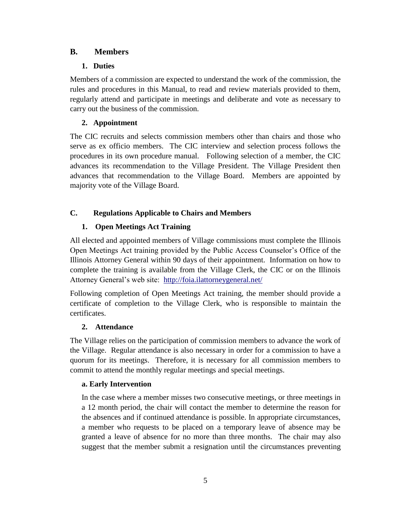## **B. Members**

## **1. Duties**

Members of a commission are expected to understand the work of the commission, the rules and procedures in this Manual, to read and review materials provided to them, regularly attend and participate in meetings and deliberate and vote as necessary to carry out the business of the commission.

## **2. Appointment**

The CIC recruits and selects commission members other than chairs and those who serve as ex officio members. The CIC interview and selection process follows the procedures in its own procedure manual. Following selection of a member, the CIC advances its recommendation to the Village President. The Village President then advances that recommendation to the Village Board. Members are appointed by majority vote of the Village Board.

## **C. Regulations Applicable to Chairs and Members**

## **1. Open Meetings Act Training**

All elected and appointed members of Village commissions must complete the Illinois Open Meetings Act training provided by the Public Access Counselor's Office of the Illinois Attorney General within 90 days of their appointment. Information on how to complete the training is available from the Village Clerk, the CIC or on the Illinois Attorney General's web site: <http://foia.ilattorneygeneral.net/>

Following completion of Open Meetings Act training, the member should provide a certificate of completion to the Village Clerk, who is responsible to maintain the certificates.

#### **2. Attendance**

The Village relies on the participation of commission members to advance the work of the Village. Regular attendance is also necessary in order for a commission to have a quorum for its meetings. Therefore, it is necessary for all commission members to commit to attend the monthly regular meetings and special meetings.

#### **a. Early Intervention**

In the case where a member misses two consecutive meetings, or three meetings in a 12 month period, the chair will contact the member to determine the reason for the absences and if continued attendance is possible. In appropriate circumstances, a member who requests to be placed on a temporary leave of absence may be granted a leave of absence for no more than three months. The chair may also suggest that the member submit a resignation until the circumstances preventing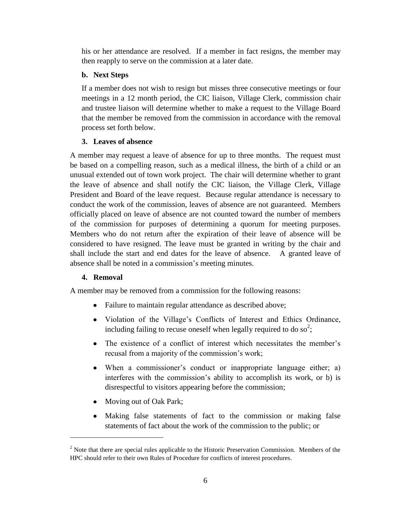his or her attendance are resolved. If a member in fact resigns, the member may then reapply to serve on the commission at a later date.

### **b. Next Steps**

If a member does not wish to resign but misses three consecutive meetings or four meetings in a 12 month period, the CIC liaison, Village Clerk, commission chair and trustee liaison will determine whether to make a request to the Village Board that the member be removed from the commission in accordance with the removal process set forth below.

## **3. Leaves of absence**

A member may request a leave of absence for up to three months. The request must be based on a compelling reason, such as a medical illness, the birth of a child or an unusual extended out of town work project. The chair will determine whether to grant the leave of absence and shall notify the CIC liaison, the Village Clerk, Village President and Board of the leave request. Because regular attendance is necessary to conduct the work of the commission, leaves of absence are not guaranteed. Members officially placed on leave of absence are not counted toward the number of members of the commission for purposes of determining a quorum for meeting purposes. Members who do not return after the expiration of their leave of absence will be considered to have resigned. The leave must be granted in writing by the chair and shall include the start and end dates for the leave of absence. A granted leave of absence shall be noted in a commission's meeting minutes.

## **4. Removal**

 $\overline{a}$ 

A member may be removed from a commission for the following reasons:

- Failure to maintain regular attendance as described above;
- Violation of the Village's Conflicts of Interest and Ethics Ordinance, including failing to recuse oneself when legally required to do so<sup>2</sup>;
- The existence of a conflict of interest which necessitates the member's recusal from a majority of the commission's work;
- When a commissioner's conduct or inappropriate language either; a) interferes with the commission's ability to accomplish its work, or b) is disrespectful to visitors appearing before the commission;
- Moving out of Oak Park;
- $\bullet$ Making false statements of fact to the commission or making false statements of fact about the work of the commission to the public; or

 $<sup>2</sup>$  Note that there are special rules applicable to the Historic Preservation Commission. Members of the</sup> HPC should refer to their own Rules of Procedure for conflicts of interest procedures.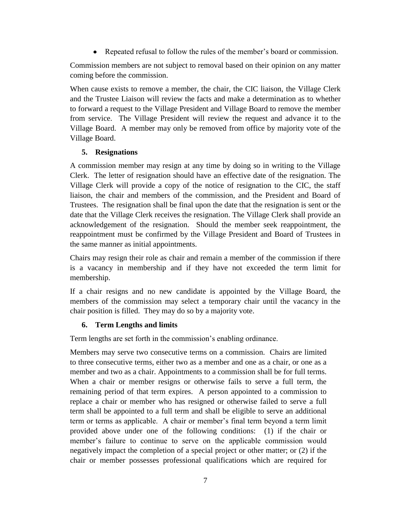Repeated refusal to follow the rules of the member's board or commission.

Commission members are not subject to removal based on their opinion on any matter coming before the commission.

When cause exists to remove a member, the chair, the CIC liaison, the Village Clerk and the Trustee Liaison will review the facts and make a determination as to whether to forward a request to the Village President and Village Board to remove the member from service. The Village President will review the request and advance it to the Village Board. A member may only be removed from office by majority vote of the Village Board.

## **5. Resignations**

A commission member may resign at any time by doing so in writing to the Village Clerk. The letter of resignation should have an effective date of the resignation. The Village Clerk will provide a copy of the notice of resignation to the CIC, the staff liaison, the chair and members of the commission, and the President and Board of Trustees. The resignation shall be final upon the date that the resignation is sent or the date that the Village Clerk receives the resignation. The Village Clerk shall provide an acknowledgement of the resignation. Should the member seek reappointment, the reappointment must be confirmed by the Village President and Board of Trustees in the same manner as initial appointments.

Chairs may resign their role as chair and remain a member of the commission if there is a vacancy in membership and if they have not exceeded the term limit for membership.

If a chair resigns and no new candidate is appointed by the Village Board, the members of the commission may select a temporary chair until the vacancy in the chair position is filled. They may do so by a majority vote.

#### **6. Term Lengths and limits**

Term lengths are set forth in the commission's enabling ordinance.

Members may serve two consecutive terms on a commission. Chairs are limited to three consecutive terms, either two as a member and one as a chair, or one as a member and two as a chair. Appointments to a commission shall be for full terms. When a chair or member resigns or otherwise fails to serve a full term, the remaining period of that term expires. A person appointed to a commission to replace a chair or member who has resigned or otherwise failed to serve a full term shall be appointed to a full term and shall be eligible to serve an additional term or terms as applicable. A chair or member's final term beyond a term limit provided above under one of the following conditions: (1) if the chair or member's failure to continue to serve on the applicable commission would negatively impact the completion of a special project or other matter; or (2) if the chair or member possesses professional qualifications which are required for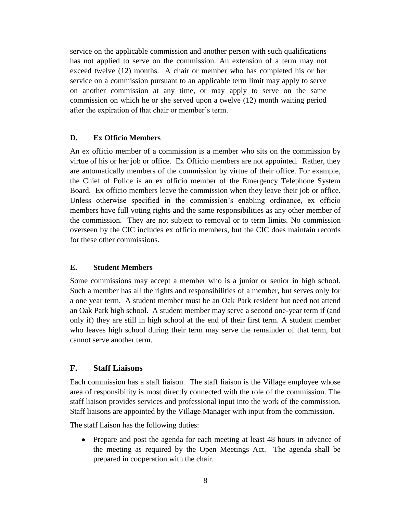service on the applicable commission and another person with such qualifications has not applied to serve on the commission. An extension of a term may not exceed twelve (12) months. A chair or member who has completed his or her service on a commission pursuant to an applicable term limit may apply to serve on another commission at any time, or may apply to serve on the same commission on which he or she served upon a twelve (12) month waiting period after the expiration of that chair or member's term.

#### **D. Ex Officio Members**

An ex officio member of a commission is a member who sits on the commission by virtue of his or her job or office. Ex Officio members are not appointed. Rather, they are automatically members of the commission by virtue of their office. For example, the Chief of Police is an ex officio member of the Emergency Telephone System Board. Ex officio members leave the commission when they leave their job or office. Unless otherwise specified in the commission's enabling ordinance, ex officio members have full voting rights and the same responsibilities as any other member of the commission. They are not subject to removal or to term limits. No commission overseen by the CIC includes ex officio members, but the CIC does maintain records for these other commissions.

#### **E. Student Members**

Some commissions may accept a member who is a junior or senior in high school. Such a member has all the rights and responsibilities of a member, but serves only for a one year term. A student member must be an Oak Park resident but need not attend an Oak Park high school. A student member may serve a second one-year term if (and only if) they are still in high school at the end of their first term. A student member who leaves high school during their term may serve the remainder of that term, but cannot serve another term.

#### **F. Staff Liaisons**

Each commission has a staff liaison. The staff liaison is the Village employee whose area of responsibility is most directly connected with the role of the commission. The staff liaison provides services and professional input into the work of the commission. Staff liaisons are appointed by the Village Manager with input from the commission.

The staff liaison has the following duties:

 $\bullet$ Prepare and post the agenda for each meeting at least 48 hours in advance of the meeting as required by the Open Meetings Act. The agenda shall be prepared in cooperation with the chair.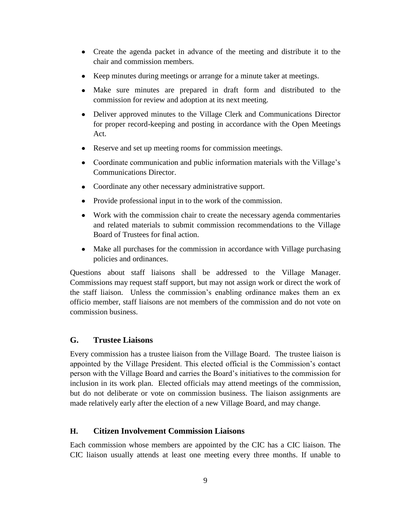- Create the agenda packet in advance of the meeting and distribute it to the chair and commission members.
- Keep minutes during meetings or arrange for a minute taker at meetings.
- Make sure minutes are prepared in draft form and distributed to the commission for review and adoption at its next meeting.
- Deliver approved minutes to the Village Clerk and Communications Director for proper record-keeping and posting in accordance with the Open Meetings Act.
- Reserve and set up meeting rooms for commission meetings.
- Coordinate communication and public information materials with the Village's Communications Director.
- Coordinate any other necessary administrative support.
- Provide professional input in to the work of the commission.
- Work with the commission chair to create the necessary agenda commentaries and related materials to submit commission recommendations to the Village Board of Trustees for final action.
- Make all purchases for the commission in accordance with Village purchasing policies and ordinances.

Questions about staff liaisons shall be addressed to the Village Manager. Commissions may request staff support, but may not assign work or direct the work of the staff liaison. Unless the commission's enabling ordinance makes them an ex officio member, staff liaisons are not members of the commission and do not vote on commission business.

#### **G. Trustee Liaisons**

Every commission has a trustee liaison from the Village Board. The trustee liaison is appointed by the Village President. This elected official is the Commission's contact person with the Village Board and carries the Board's initiatives to the commission for inclusion in its work plan. Elected officials may attend meetings of the commission, but do not deliberate or vote on commission business. The liaison assignments are made relatively early after the election of a new Village Board, and may change.

#### **H. Citizen Involvement Commission Liaisons**

Each commission whose members are appointed by the CIC has a CIC liaison. The CIC liaison usually attends at least one meeting every three months. If unable to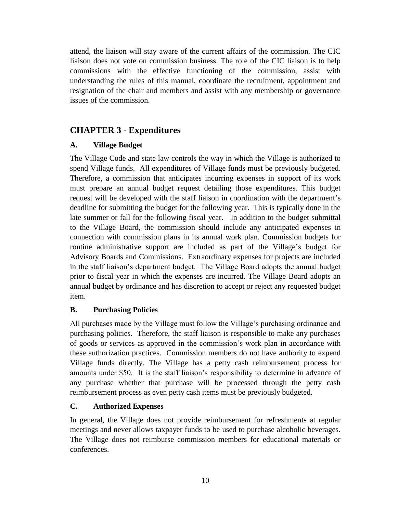attend, the liaison will stay aware of the current affairs of the commission. The CIC liaison does not vote on commission business. The role of the CIC liaison is to help commissions with the effective functioning of the commission, assist with understanding the rules of this manual, coordinate the recruitment, appointment and resignation of the chair and members and assist with any membership or governance issues of the commission.

## **CHAPTER 3 - Expenditures**

## **A. Village Budget**

The Village Code and state law controls the way in which the Village is authorized to spend Village funds. All expenditures of Village funds must be previously budgeted. Therefore, a commission that anticipates incurring expenses in support of its work must prepare an annual budget request detailing those expenditures. This budget request will be developed with the staff liaison in coordination with the department's deadline for submitting the budget for the following year. This is typically done in the late summer or fall for the following fiscal year. In addition to the budget submittal to the Village Board, the commission should include any anticipated expenses in connection with commission plans in its annual work plan. Commission budgets for routine administrative support are included as part of the Village's budget for Advisory Boards and Commissions. Extraordinary expenses for projects are included in the staff liaison's department budget. The Village Board adopts the annual budget prior to fiscal year in which the expenses are incurred. The Village Board adopts an annual budget by ordinance and has discretion to accept or reject any requested budget item.

## **B. Purchasing Policies**

All purchases made by the Village must follow the Village's purchasing ordinance and purchasing policies. Therefore, the staff liaison is responsible to make any purchases of goods or services as approved in the commission's work plan in accordance with these authorization practices. Commission members do not have authority to expend Village funds directly. The Village has a petty cash reimbursement process for amounts under \$50. It is the staff liaison's responsibility to determine in advance of any purchase whether that purchase will be processed through the petty cash reimbursement process as even petty cash items must be previously budgeted.

## **C. Authorized Expenses**

In general, the Village does not provide reimbursement for refreshments at regular meetings and never allows taxpayer funds to be used to purchase alcoholic beverages. The Village does not reimburse commission members for educational materials or conferences.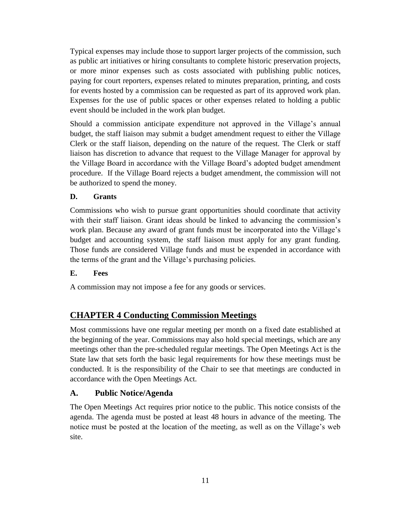Typical expenses may include those to support larger projects of the commission, such as public art initiatives or hiring consultants to complete historic preservation projects, or more minor expenses such as costs associated with publishing public notices, paying for court reporters, expenses related to minutes preparation, printing, and costs for events hosted by a commission can be requested as part of its approved work plan. Expenses for the use of public spaces or other expenses related to holding a public event should be included in the work plan budget.

Should a commission anticipate expenditure not approved in the Village's annual budget, the staff liaison may submit a budget amendment request to either the Village Clerk or the staff liaison, depending on the nature of the request. The Clerk or staff liaison has discretion to advance that request to the Village Manager for approval by the Village Board in accordance with the Village Board's adopted budget amendment procedure. If the Village Board rejects a budget amendment, the commission will not be authorized to spend the money.

#### **D. Grants**

Commissions who wish to pursue grant opportunities should coordinate that activity with their staff liaison. Grant ideas should be linked to advancing the commission's work plan. Because any award of grant funds must be incorporated into the Village's budget and accounting system, the staff liaison must apply for any grant funding. Those funds are considered Village funds and must be expended in accordance with the terms of the grant and the Village's purchasing policies.

#### **E. Fees**

A commission may not impose a fee for any goods or services.

## **CHAPTER 4 Conducting Commission Meetings**

Most commissions have one regular meeting per month on a fixed date established at the beginning of the year. Commissions may also hold special meetings, which are any meetings other than the pre-scheduled regular meetings. The Open Meetings Act is the State law that sets forth the basic legal requirements for how these meetings must be conducted. It is the responsibility of the Chair to see that meetings are conducted in accordance with the Open Meetings Act.

#### **A. Public Notice/Agenda**

The Open Meetings Act requires prior notice to the public. This notice consists of the agenda. The agenda must be posted at least 48 hours in advance of the meeting. The notice must be posted at the location of the meeting, as well as on the Village's web site.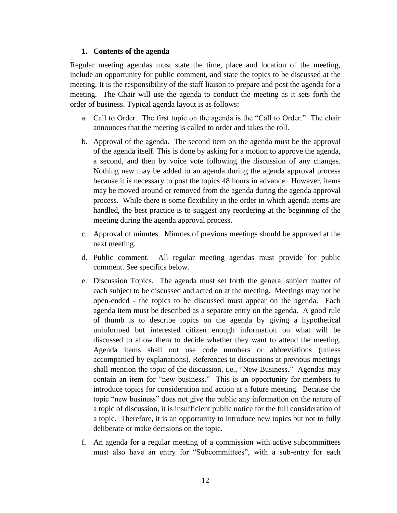#### **1. Contents of the agenda**

Regular meeting agendas must state the time, place and location of the meeting, include an opportunity for public comment, and state the topics to be discussed at the meeting. It is the responsibility of the staff liaison to prepare and post the agenda for a meeting. The Chair will use the agenda to conduct the meeting as it sets forth the order of business. Typical agenda layout is as follows:

- a. Call to Order. The first topic on the agenda is the "Call to Order." The chair announces that the meeting is called to order and takes the roll.
- b. Approval of the agenda. The second item on the agenda must be the approval of the agenda itself. This is done by asking for a motion to approve the agenda, a second, and then by voice vote following the discussion of any changes. Nothing new may be added to an agenda during the agenda approval process because it is necessary to post the topics 48 hours in advance. However, items may be moved around or removed from the agenda during the agenda approval process. While there is some flexibility in the order in which agenda items are handled, the best practice is to suggest any reordering at the beginning of the meeting during the agenda approval process.
- c. Approval of minutes. Minutes of previous meetings should be approved at the next meeting.
- d. Public comment. All regular meeting agendas must provide for public comment. See specifics below.
- e. Discussion Topics. The agenda must set forth the general subject matter of each subject to be discussed and acted on at the meeting. Meetings may not be open-ended - the topics to be discussed must appear on the agenda. Each agenda item must be described as a separate entry on the agenda. A good rule of thumb is to describe topics on the agenda by giving a hypothetical uninformed but interested citizen enough information on what will be discussed to allow them to decide whether they want to attend the meeting. Agenda items shall not use code numbers or abbreviations (unless accompanied by explanations). References to discussions at previous meetings shall mention the topic of the discussion, i.e., "New Business." Agendas may contain an item for "new business." This is an opportunity for members to introduce topics for consideration and action at a future meeting. Because the topic "new business" does not give the public any information on the nature of a topic of discussion, it is insufficient public notice for the full consideration of a topic. Therefore, it is an opportunity to introduce new topics but not to fully deliberate or make decisions on the topic.
- f. An agenda for a regular meeting of a commission with active subcommittees must also have an entry for "Subcommittees", with a sub-entry for each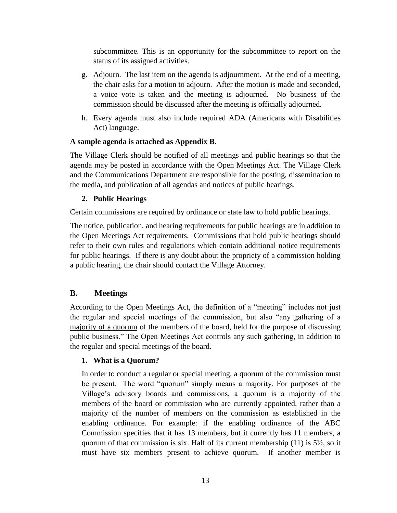subcommittee. This is an opportunity for the subcommittee to report on the status of its assigned activities.

- g. Adjourn. The last item on the agenda is adjournment. At the end of a meeting, the chair asks for a motion to adjourn. After the motion is made and seconded, a voice vote is taken and the meeting is adjourned. No business of the commission should be discussed after the meeting is officially adjourned.
- h. Every agenda must also include required ADA (Americans with Disabilities Act) language.

#### **A sample agenda is attached as Appendix B.**

The Village Clerk should be notified of all meetings and public hearings so that the agenda may be posted in accordance with the Open Meetings Act. The Village Clerk and the Communications Department are responsible for the posting, dissemination to the media, and publication of all agendas and notices of public hearings.

## **2. Public Hearings**

Certain commissions are required by ordinance or state law to hold public hearings.

The notice, publication, and hearing requirements for public hearings are in addition to the Open Meetings Act requirements. Commissions that hold public hearings should refer to their own rules and regulations which contain additional notice requirements for public hearings. If there is any doubt about the propriety of a commission holding a public hearing, the chair should contact the Village Attorney.

## **B. Meetings**

According to the Open Meetings Act, the definition of a "meeting" includes not just the regular and special meetings of the commission, but also "any gathering of a majority of a quorum of the members of the board, held for the purpose of discussing public business." The Open Meetings Act controls any such gathering, in addition to the regular and special meetings of the board.

## **1. What is a Quorum?**

In order to conduct a regular or special meeting, a quorum of the commission must be present. The word "quorum" simply means a majority. For purposes of the Village's advisory boards and commissions, a quorum is a majority of the members of the board or commission who are currently appointed, rather than a majority of the number of members on the commission as established in the enabling ordinance. For example: if the enabling ordinance of the ABC Commission specifies that it has 13 members, but it currently has 11 members, a quorum of that commission is six. Half of its current membership (11) is  $5\frac{1}{2}$ , so it must have six members present to achieve quorum. If another member is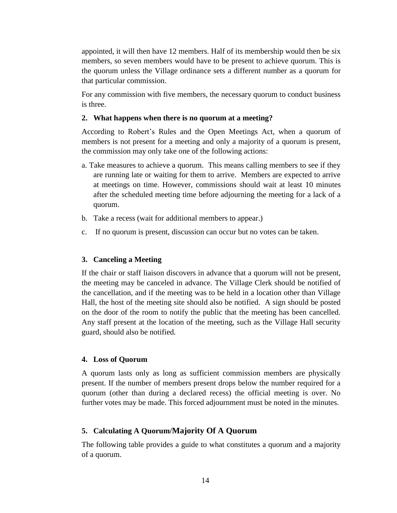appointed, it will then have 12 members. Half of its membership would then be six members, so seven members would have to be present to achieve quorum. This is the quorum unless the Village ordinance sets a different number as a quorum for that particular commission.

For any commission with five members, the necessary quorum to conduct business is three.

#### **2. What happens when there is no quorum at a meeting?**

According to Robert's Rules and the Open Meetings Act, when a quorum of members is not present for a meeting and only a majority of a quorum is present, the commission may only take one of the following actions:

- a. Take measures to achieve a quorum. This means calling members to see if they are running late or waiting for them to arrive. Members are expected to arrive at meetings on time. However, commissions should wait at least 10 minutes after the scheduled meeting time before adjourning the meeting for a lack of a quorum.
- b. Take a recess (wait for additional members to appear.)
- c. If no quorum is present, discussion can occur but no votes can be taken.

#### **3. Canceling a Meeting**

If the chair or staff liaison discovers in advance that a quorum will not be present, the meeting may be canceled in advance. The Village Clerk should be notified of the cancellation, and if the meeting was to be held in a location other than Village Hall, the host of the meeting site should also be notified. A sign should be posted on the door of the room to notify the public that the meeting has been cancelled. Any staff present at the location of the meeting, such as the Village Hall security guard, should also be notified.

#### **4. Loss of Quorum**

A quorum lasts only as long as sufficient commission members are physically present. If the number of members present drops below the number required for a quorum (other than during a declared recess) the official meeting is over. No further votes may be made. This forced adjournment must be noted in the minutes.

#### **5. Calculating A Quorum/Majority Of A Quorum**

The following table provides a guide to what constitutes a quorum and a majority of a quorum.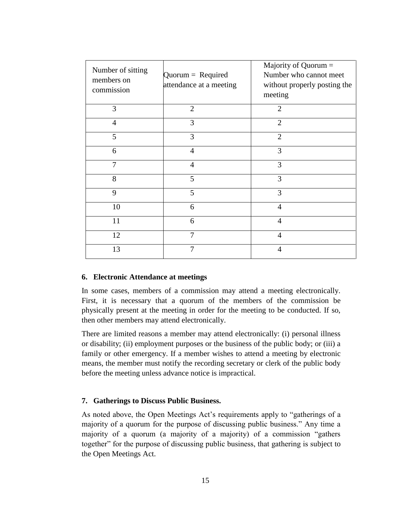| Number of sitting<br>members on<br>commission | $Quorum = Required$<br>attendance at a meeting | Majority of Quorum =<br>Number who cannot meet<br>without properly posting the<br>meeting |
|-----------------------------------------------|------------------------------------------------|-------------------------------------------------------------------------------------------|
| 3                                             | $\overline{2}$                                 | $\overline{2}$                                                                            |
| $\overline{4}$                                | 3                                              | $\overline{2}$                                                                            |
| 5                                             | 3                                              | $\overline{2}$                                                                            |
| 6                                             | $\overline{4}$                                 | 3                                                                                         |
| 7                                             | $\overline{4}$                                 | 3                                                                                         |
| 8                                             | 5                                              | 3                                                                                         |
| 9                                             | 5                                              | 3                                                                                         |
| 10                                            | 6                                              | $\overline{4}$                                                                            |
| 11                                            | 6                                              | $\overline{4}$                                                                            |
| 12                                            | 7                                              | $\overline{4}$                                                                            |
| 13                                            | 7                                              | $\overline{4}$                                                                            |

#### **6. Electronic Attendance at meetings**

In some cases, members of a commission may attend a meeting electronically. First, it is necessary that a quorum of the members of the commission be physically present at the meeting in order for the meeting to be conducted. If so, then other members may attend electronically.

There are limited reasons a member may attend electronically: (i) personal illness or disability; (ii) employment purposes or the business of the public body; or (iii) a family or other emergency. If a member wishes to attend a meeting by electronic means, the member must notify the recording secretary or clerk of the public body before the meeting unless advance notice is impractical.

#### **7. Gatherings to Discuss Public Business.**

As noted above, the Open Meetings Act's requirements apply to "gatherings of a majority of a quorum for the purpose of discussing public business." Any time a majority of a quorum (a majority of a majority) of a commission "gathers together" for the purpose of discussing public business, that gathering is subject to the Open Meetings Act.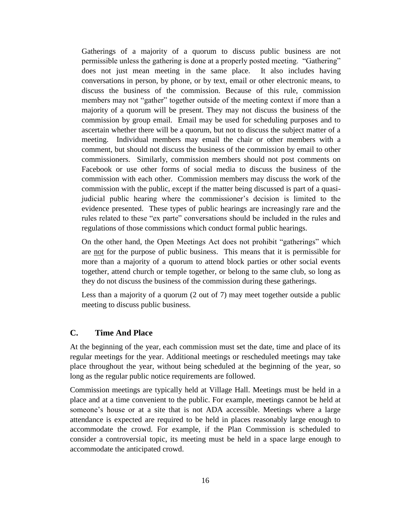Gatherings of a majority of a quorum to discuss public business are not permissible unless the gathering is done at a properly posted meeting. "Gathering" does not just mean meeting in the same place. It also includes having conversations in person, by phone, or by text, email or other electronic means, to discuss the business of the commission. Because of this rule, commission members may not "gather" together outside of the meeting context if more than a majority of a quorum will be present. They may not discuss the business of the commission by group email. Email may be used for scheduling purposes and to ascertain whether there will be a quorum, but not to discuss the subject matter of a meeting. Individual members may email the chair or other members with a comment, but should not discuss the business of the commission by email to other commissioners. Similarly, commission members should not post comments on Facebook or use other forms of social media to discuss the business of the commission with each other. Commission members may discuss the work of the commission with the public, except if the matter being discussed is part of a quasijudicial public hearing where the commissioner's decision is limited to the evidence presented. These types of public hearings are increasingly rare and the rules related to these "ex parte" conversations should be included in the rules and regulations of those commissions which conduct formal public hearings.

On the other hand, the Open Meetings Act does not prohibit "gatherings" which are not for the purpose of public business. This means that it is permissible for more than a majority of a quorum to attend block parties or other social events together, attend church or temple together, or belong to the same club, so long as they do not discuss the business of the commission during these gatherings.

Less than a majority of a quorum (2 out of 7) may meet together outside a public meeting to discuss public business.

## **C. Time And Place**

At the beginning of the year, each commission must set the date, time and place of its regular meetings for the year. Additional meetings or rescheduled meetings may take place throughout the year, without being scheduled at the beginning of the year, so long as the regular public notice requirements are followed.

Commission meetings are typically held at Village Hall. Meetings must be held in a place and at a time convenient to the public. For example, meetings cannot be held at someone's house or at a site that is not ADA accessible. Meetings where a large attendance is expected are required to be held in places reasonably large enough to accommodate the crowd. For example, if the Plan Commission is scheduled to consider a controversial topic, its meeting must be held in a space large enough to accommodate the anticipated crowd.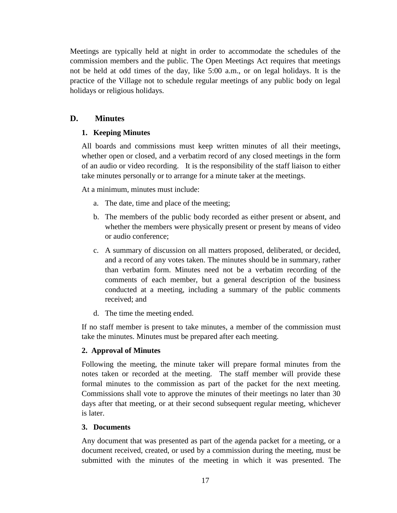Meetings are typically held at night in order to accommodate the schedules of the commission members and the public. The Open Meetings Act requires that meetings not be held at odd times of the day, like 5:00 a.m., or on legal holidays. It is the practice of the Village not to schedule regular meetings of any public body on legal holidays or religious holidays.

## **D. Minutes**

## **1. Keeping Minutes**

All boards and commissions must keep written minutes of all their meetings, whether open or closed, and a verbatim record of any closed meetings in the form of an audio or video recording. It is the responsibility of the staff liaison to either take minutes personally or to arrange for a minute taker at the meetings.

At a minimum, minutes must include:

- a. The date, time and place of the meeting;
- b. The members of the public body recorded as either present or absent, and whether the members were physically present or present by means of video or audio conference;
- c. A summary of discussion on all matters proposed, deliberated, or decided, and a record of any votes taken. The minutes should be in summary, rather than verbatim form. Minutes need not be a verbatim recording of the comments of each member, but a general description of the business conducted at a meeting, including a summary of the public comments received; and
- d. The time the meeting ended.

If no staff member is present to take minutes, a member of the commission must take the minutes. Minutes must be prepared after each meeting.

## **2. Approval of Minutes**

Following the meeting, the minute taker will prepare formal minutes from the notes taken or recorded at the meeting. The staff member will provide these formal minutes to the commission as part of the packet for the next meeting. Commissions shall vote to approve the minutes of their meetings no later than 30 days after that meeting, or at their second subsequent regular meeting, whichever is later.

#### **3. Documents**

Any document that was presented as part of the agenda packet for a meeting, or a document received, created, or used by a commission during the meeting, must be submitted with the minutes of the meeting in which it was presented. The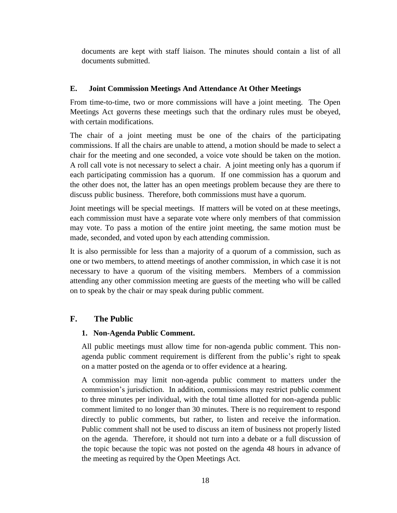documents are kept with staff liaison. The minutes should contain a list of all documents submitted.

#### **E. Joint Commission Meetings And Attendance At Other Meetings**

From time-to-time, two or more commissions will have a joint meeting. The Open Meetings Act governs these meetings such that the ordinary rules must be obeyed, with certain modifications.

The chair of a joint meeting must be one of the chairs of the participating commissions. If all the chairs are unable to attend, a motion should be made to select a chair for the meeting and one seconded, a voice vote should be taken on the motion. A roll call vote is not necessary to select a chair. A joint meeting only has a quorum if each participating commission has a quorum. If one commission has a quorum and the other does not, the latter has an open meetings problem because they are there to discuss public business. Therefore, both commissions must have a quorum.

Joint meetings will be special meetings. If matters will be voted on at these meetings, each commission must have a separate vote where only members of that commission may vote. To pass a motion of the entire joint meeting, the same motion must be made, seconded, and voted upon by each attending commission.

It is also permissible for less than a majority of a quorum of a commission, such as one or two members, to attend meetings of another commission, in which case it is not necessary to have a quorum of the visiting members. Members of a commission attending any other commission meeting are guests of the meeting who will be called on to speak by the chair or may speak during public comment.

## **F. The Public**

#### **1. Non-Agenda Public Comment.**

All public meetings must allow time for non-agenda public comment. This nonagenda public comment requirement is different from the public's right to speak on a matter posted on the agenda or to offer evidence at a hearing.

A commission may limit non-agenda public comment to matters under the commission's jurisdiction. In addition, commissions may restrict public comment to three minutes per individual, with the total time allotted for non-agenda public comment limited to no longer than 30 minutes. There is no requirement to respond directly to public comments, but rather, to listen and receive the information. Public comment shall not be used to discuss an item of business not properly listed on the agenda. Therefore, it should not turn into a debate or a full discussion of the topic because the topic was not posted on the agenda 48 hours in advance of the meeting as required by the Open Meetings Act.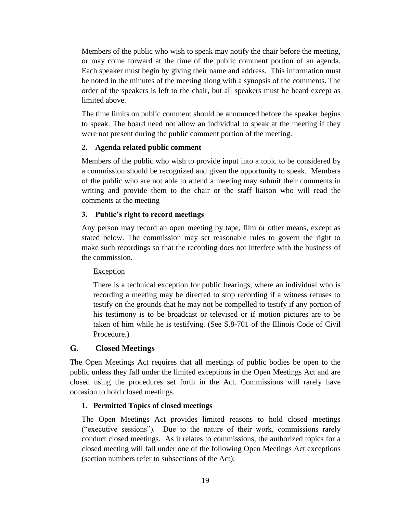Members of the public who wish to speak may notify the chair before the meeting, or may come forward at the time of the public comment portion of an agenda. Each speaker must begin by giving their name and address. This information must be noted in the minutes of the meeting along with a synopsis of the comments. The order of the speakers is left to the chair, but all speakers must be heard except as limited above.

The time limits on public comment should be announced before the speaker begins to speak. The board need not allow an individual to speak at the meeting if they were not present during the public comment portion of the meeting.

#### **2. Agenda related public comment**

Members of the public who wish to provide input into a topic to be considered by a commission should be recognized and given the opportunity to speak. Members of the public who are not able to attend a meeting may submit their comments in writing and provide them to the chair or the staff liaison who will read the comments at the meeting

#### **3. Public's right to record meetings**

Any person may record an open meeting by tape, film or other means, except as stated below. The commission may set reasonable rules to govern the right to make such recordings so that the recording does not interfere with the business of the commission.

#### Exception

There is a technical exception for public hearings, where an individual who is recording a meeting may be directed to stop recording if a witness refuses to testify on the grounds that he may not be compelled to testify if any portion of his testimony is to be broadcast or televised or if motion pictures are to be taken of him while he is testifying. (See S.8-701 of the Illinois Code of Civil Procedure.)

#### **G. Closed Meetings**

The Open Meetings Act requires that all meetings of public bodies be open to the public unless they fall under the limited exceptions in the Open Meetings Act and are closed using the procedures set forth in the Act. Commissions will rarely have occasion to hold closed meetings.

#### **1. Permitted Topics of closed meetings**

The Open Meetings Act provides limited reasons to hold closed meetings ("executive sessions"). Due to the nature of their work, commissions rarely conduct closed meetings. As it relates to commissions, the authorized topics for a closed meeting will fall under one of the following Open Meetings Act exceptions (section numbers refer to subsections of the Act):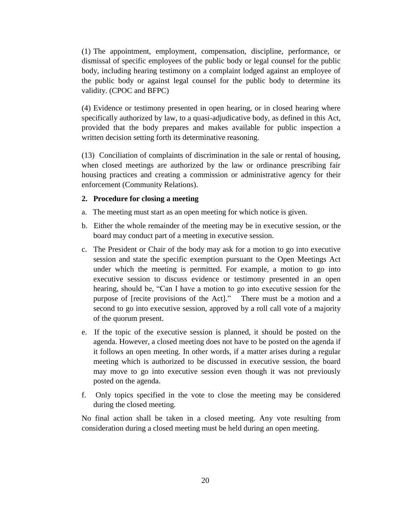(1) The appointment, employment, compensation, discipline, performance, or dismissal of specific employees of the public body or legal counsel for the public body, including hearing testimony on a complaint lodged against an employee of the public body or against legal counsel for the public body to determine its validity. (CPOC and BFPC)

(4) Evidence or testimony presented in open hearing, or in closed hearing where specifically authorized by law, to a quasi-adjudicative body, as defined in this Act, provided that the body prepares and makes available for public inspection a written decision setting forth its determinative reasoning.

(13) Conciliation of complaints of discrimination in the sale or rental of housing, when closed meetings are authorized by the law or ordinance prescribing fair housing practices and creating a commission or administrative agency for their enforcement (Community Relations).

#### **2. Procedure for closing a meeting**

- a. The meeting must start as an open meeting for which notice is given.
- b. Either the whole remainder of the meeting may be in executive session, or the board may conduct part of a meeting in executive session.
- c. The President or Chair of the body may ask for a motion to go into executive session and state the specific exemption pursuant to the Open Meetings Act under which the meeting is permitted. For example, a motion to go into executive session to discuss evidence or testimony presented in an open hearing, should be, "Can I have a motion to go into executive session for the purpose of [recite provisions of the Act]." There must be a motion and a second to go into executive session, approved by a roll call vote of a majority of the quorum present.
- e. If the topic of the executive session is planned, it should be posted on the agenda. However, a closed meeting does not have to be posted on the agenda if it follows an open meeting. In other words, if a matter arises during a regular meeting which is authorized to be discussed in executive session, the board may move to go into executive session even though it was not previously posted on the agenda.
- f. Only topics specified in the vote to close the meeting may be considered during the closed meeting.

No final action shall be taken in a closed meeting. Any vote resulting from consideration during a closed meeting must be held during an open meeting.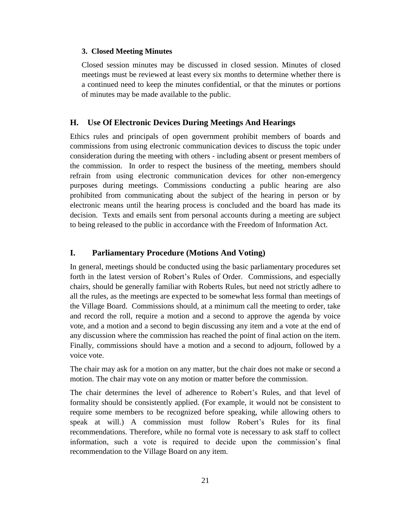#### **3. Closed Meeting Minutes**

Closed session minutes may be discussed in closed session. Minutes of closed meetings must be reviewed at least every six months to determine whether there is a continued need to keep the minutes confidential, or that the minutes or portions of minutes may be made available to the public.

## **H. Use Of Electronic Devices During Meetings And Hearings**

Ethics rules and principals of open government prohibit members of boards and commissions from using electronic communication devices to discuss the topic under consideration during the meeting with others - including absent or present members of the commission. In order to respect the business of the meeting, members should refrain from using electronic communication devices for other non-emergency purposes during meetings. Commissions conducting a public hearing are also prohibited from communicating about the subject of the hearing in person or by electronic means until the hearing process is concluded and the board has made its decision. Texts and emails sent from personal accounts during a meeting are subject to being released to the public in accordance with the Freedom of Information Act.

### **I. Parliamentary Procedure (Motions And Voting)**

In general, meetings should be conducted using the basic parliamentary procedures set forth in the latest version of Robert's Rules of Order. Commissions, and especially chairs, should be generally familiar with Roberts Rules, but need not strictly adhere to all the rules, as the meetings are expected to be somewhat less formal than meetings of the Village Board. Commissions should, at a minimum call the meeting to order, take and record the roll, require a motion and a second to approve the agenda by voice vote, and a motion and a second to begin discussing any item and a vote at the end of any discussion where the commission has reached the point of final action on the item. Finally, commissions should have a motion and a second to adjourn, followed by a voice vote.

The chair may ask for a motion on any matter, but the chair does not make or second a motion. The chair may vote on any motion or matter before the commission.

The chair determines the level of adherence to Robert's Rules, and that level of formality should be consistently applied. (For example, it would not be consistent to require some members to be recognized before speaking, while allowing others to speak at will.) A commission must follow Robert's Rules for its final recommendations. Therefore, while no formal vote is necessary to ask staff to collect information, such a vote is required to decide upon the commission's final recommendation to the Village Board on any item.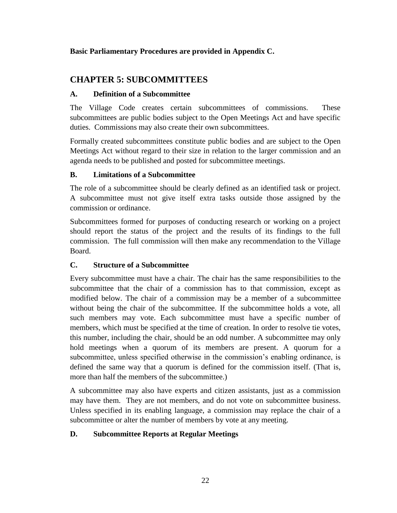### **Basic Parliamentary Procedures are provided in Appendix C.**

## **CHAPTER 5: SUBCOMMITTEES**

### **A. Definition of a Subcommittee**

The Village Code creates certain subcommittees of commissions. These subcommittees are public bodies subject to the Open Meetings Act and have specific duties. Commissions may also create their own subcommittees.

Formally created subcommittees constitute public bodies and are subject to the Open Meetings Act without regard to their size in relation to the larger commission and an agenda needs to be published and posted for subcommittee meetings.

## **B. Limitations of a Subcommittee**

The role of a subcommittee should be clearly defined as an identified task or project. A subcommittee must not give itself extra tasks outside those assigned by the commission or ordinance.

Subcommittees formed for purposes of conducting research or working on a project should report the status of the project and the results of its findings to the full commission. The full commission will then make any recommendation to the Village Board.

## **C. Structure of a Subcommittee**

Every subcommittee must have a chair. The chair has the same responsibilities to the subcommittee that the chair of a commission has to that commission, except as modified below. The chair of a commission may be a member of a subcommittee without being the chair of the subcommittee. If the subcommittee holds a vote, all such members may vote. Each subcommittee must have a specific number of members, which must be specified at the time of creation. In order to resolve tie votes, this number, including the chair, should be an odd number. A subcommittee may only hold meetings when a quorum of its members are present. A quorum for a subcommittee, unless specified otherwise in the commission's enabling ordinance, is defined the same way that a quorum is defined for the commission itself. (That is, more than half the members of the subcommittee.)

A subcommittee may also have experts and citizen assistants, just as a commission may have them. They are not members, and do not vote on subcommittee business. Unless specified in its enabling language, a commission may replace the chair of a subcommittee or alter the number of members by vote at any meeting.

## **D. Subcommittee Reports at Regular Meetings**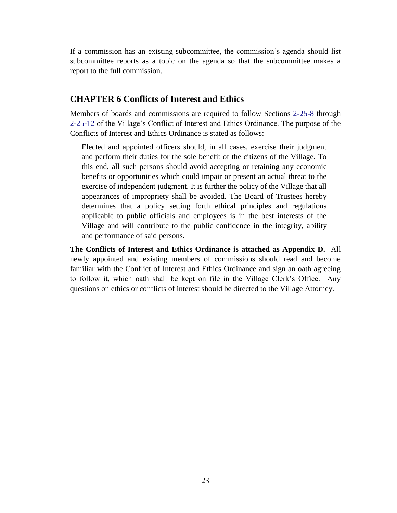If a commission has an existing subcommittee, the commission's agenda should list subcommittee reports as a topic on the agenda so that the subcommittee makes a report to the full commission.

## **CHAPTER 6 Conflicts of Interest and Ethics**

Members of boards and commissions are required to follow Sections [2-25-8](http://www.sterlingcodifiers.com/codebook/?ft=3&find=2-25-8) through [2-25-12](http://www.sterlingcodifiers.com/codebook/?ft=3&find=2-25-12) of the Village's Conflict of Interest and Ethics Ordinance. The purpose of the Conflicts of Interest and Ethics Ordinance is stated as follows:

Elected and appointed officers should, in all cases, exercise their judgment and perform their duties for the sole benefit of the citizens of the Village. To this end, all such persons should avoid accepting or retaining any economic benefits or opportunities which could impair or present an actual threat to the exercise of independent judgment. It is further the policy of the Village that all appearances of impropriety shall be avoided. The Board of Trustees hereby determines that a policy setting forth ethical principles and regulations applicable to public officials and employees is in the best interests of the Village and will contribute to the public confidence in the integrity, ability and performance of said persons.

**The Conflicts of Interest and Ethics Ordinance is attached as Appendix D.** All newly appointed and existing members of commissions should read and become familiar with the Conflict of Interest and Ethics Ordinance and sign an oath agreeing to follow it, which oath shall be kept on file in the Village Clerk's Office. Any questions on ethics or conflicts of interest should be directed to the Village Attorney.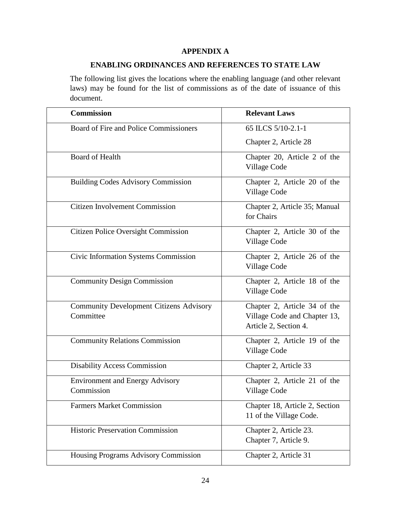#### **APPENDIX A**

### **ENABLING ORDINANCES AND REFERENCES TO STATE LAW**

The following list gives the locations where the enabling language (and other relevant laws) may be found for the list of commissions as of the date of issuance of this document.

| <b>Commission</b>                                           | <b>Relevant Laws</b>                                                                  |
|-------------------------------------------------------------|---------------------------------------------------------------------------------------|
| Board of Fire and Police Commissioners                      | 65 ILCS 5/10-2.1-1                                                                    |
|                                                             | Chapter 2, Article 28                                                                 |
| <b>Board of Health</b>                                      | Chapter 20, Article 2 of the<br>Village Code                                          |
| <b>Building Codes Advisory Commission</b>                   | Chapter 2, Article 20 of the<br>Village Code                                          |
| <b>Citizen Involvement Commission</b>                       | Chapter 2, Article 35; Manual<br>for Chairs                                           |
| <b>Citizen Police Oversight Commission</b>                  | Chapter 2, Article 30 of the<br>Village Code                                          |
| Civic Information Systems Commission                        | Chapter 2, Article 26 of the<br>Village Code                                          |
| <b>Community Design Commission</b>                          | Chapter 2, Article 18 of the<br>Village Code                                          |
| <b>Community Development Citizens Advisory</b><br>Committee | Chapter 2, Article 34 of the<br>Village Code and Chapter 13,<br>Article 2, Section 4. |
| <b>Community Relations Commission</b>                       | Chapter 2, Article 19 of the<br>Village Code                                          |
| <b>Disability Access Commission</b>                         | Chapter 2, Article 33                                                                 |
| <b>Environment and Energy Advisory</b><br>Commission        | Chapter 2, Article 21 of the<br>Village Code                                          |
| <b>Farmers Market Commission</b>                            | Chapter 18, Article 2, Section<br>11 of the Village Code.                             |
| <b>Historic Preservation Commission</b>                     | Chapter 2, Article 23.<br>Chapter 7, Article 9.                                       |
| Housing Programs Advisory Commission                        | Chapter 2, Article 31                                                                 |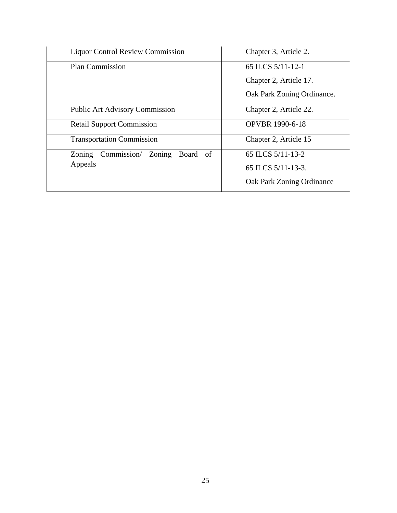| <b>Liquor Control Review Commission</b>  | Chapter 3, Article 2.                                                     |
|------------------------------------------|---------------------------------------------------------------------------|
| <b>Plan Commission</b>                   | 65 ILCS 5/11-12-1<br>Chapter 2, Article 17.<br>Oak Park Zoning Ordinance. |
| <b>Public Art Advisory Commission</b>    | Chapter 2, Article 22.                                                    |
| <b>Retail Support Commission</b>         | <b>OPVBR</b> 1990-6-18                                                    |
| <b>Transportation Commission</b>         | Chapter 2, Article 15                                                     |
| Commission/<br>Zoning Board of<br>Zoning | 65 ILCS 5/11-13-2                                                         |
| Appeals                                  | 65 ILCS 5/11-13-3.                                                        |
|                                          | Oak Park Zoning Ordinance                                                 |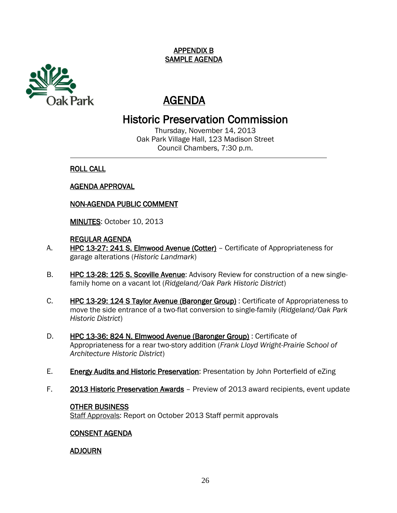

## AGENDA

## Historic Preservation Commission

Thursday, November 14, 2013 Oak Park Village Hall, 123 Madison Street Council Chambers, 7:30 p.m.

## ROLL CALL

 $\overline{a}$ 

## AGENDA APPROVAL

## NON-AGENDA PUBLIC COMMENT

MINUTES: October 10, 2013

## REGULAR AGENDA

- A. HPC 13-27: 241 S. Elmwood Avenue (Cotter) Certificate of Appropriateness for garage alterations (*Historic Landmark*)
- B. HPC 13-28: 125 S. Scoville Avenue: Advisory Review for construction of a new singlefamily home on a vacant lot (*Ridgeland/Oak Park Historic District*)
- C. HPC 13-29: 124 S Taylor Avenue (Baronger Group) : Certificate of Appropriateness to move the side entrance of a two-flat conversion to single-family (*Ridgeland/Oak Park Historic District*)
- D. HPC 13-36: 824 N. Elmwood Avenue (Baronger Group) : Certificate of Appropriateness for a rear two-story addition (*Frank Lloyd Wright-Prairie School of Architecture Historic District*)
- E. Energy Audits and Historic Preservation: Presentation by John Porterfield of eZing
- F. 2013 Historic Preservation Awards Preview of 2013 award recipients, event update

#### OTHER BUSINESS

Staff Approvals: Report on October 2013 Staff permit approvals

## CONSENT AGENDA

## ADJOURN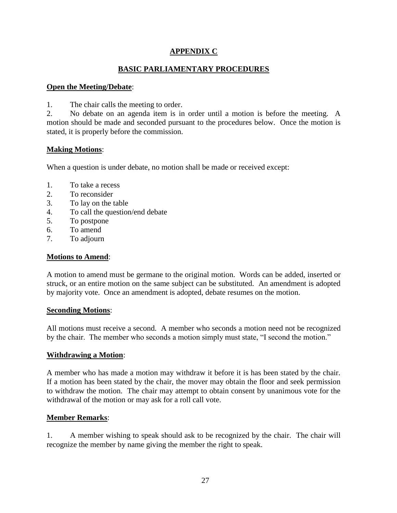#### **APPENDIX C**

#### **BASIC PARLIAMENTARY PROCEDURES**

#### **Open the Meeting/Debate**:

1. The chair calls the meeting to order.

2. No debate on an agenda item is in order until a motion is before the meeting. A motion should be made and seconded pursuant to the procedures below. Once the motion is stated, it is properly before the commission.

#### **Making Motions**:

When a question is under debate, no motion shall be made or received except:

- 1. To take a recess
- 2. To reconsider
- 3. To lay on the table
- 4. To call the question/end debate
- 5. To postpone
- 6. To amend
- 7. To adjourn

#### **Motions to Amend**:

A motion to amend must be germane to the original motion. Words can be added, inserted or struck, or an entire motion on the same subject can be substituted. An amendment is adopted by majority vote. Once an amendment is adopted, debate resumes on the motion.

#### **Seconding Motions**:

All motions must receive a second. A member who seconds a motion need not be recognized by the chair. The member who seconds a motion simply must state, "I second the motion."

#### **Withdrawing a Motion**:

A member who has made a motion may withdraw it before it is has been stated by the chair. If a motion has been stated by the chair, the mover may obtain the floor and seek permission to withdraw the motion. The chair may attempt to obtain consent by unanimous vote for the withdrawal of the motion or may ask for a roll call vote.

#### **Member Remarks**:

1. A member wishing to speak should ask to be recognized by the chair. The chair will recognize the member by name giving the member the right to speak.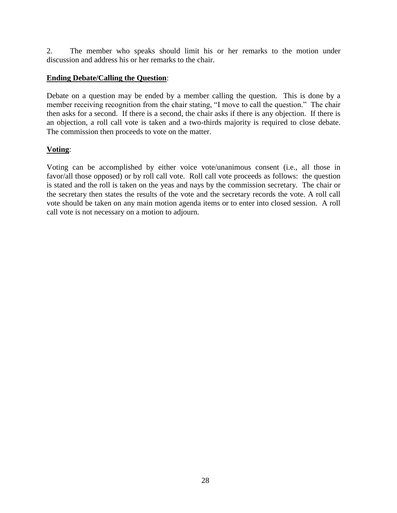2. The member who speaks should limit his or her remarks to the motion under discussion and address his or her remarks to the chair.

#### **Ending Debate/Calling the Question**:

Debate on a question may be ended by a member calling the question. This is done by a member receiving recognition from the chair stating, "I move to call the question." The chair then asks for a second. If there is a second, the chair asks if there is any objection. If there is an objection, a roll call vote is taken and a two-thirds majority is required to close debate. The commission then proceeds to vote on the matter.

#### **Voting**:

Voting can be accomplished by either voice vote/unanimous consent (i.e., all those in favor/all those opposed) or by roll call vote. Roll call vote proceeds as follows: the question is stated and the roll is taken on the yeas and nays by the commission secretary. The chair or the secretary then states the results of the vote and the secretary records the vote. A roll call vote should be taken on any main motion agenda items or to enter into closed session. A roll call vote is not necessary on a motion to adjourn.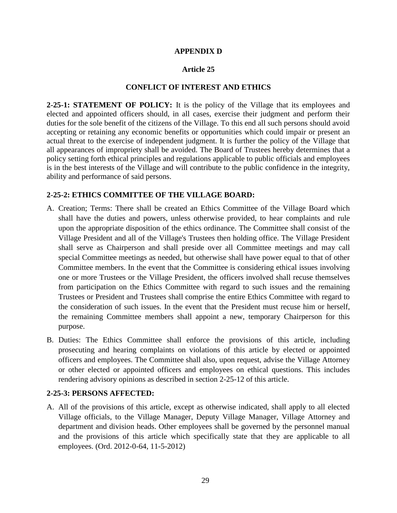#### **APPENDIX D**

#### **Article 25**

#### **CONFLICT OF INTEREST AND ETHICS**

**2-25-1: STATEMENT OF POLICY:** It is the policy of the Village that its employees and elected and appointed officers should, in all cases, exercise their judgment and perform their duties for the sole benefit of the citizens of the Village. To this end all such persons should avoid accepting or retaining any economic benefits or opportunities which could impair or present an actual threat to the exercise of independent judgment. It is further the policy of the Village that all appearances of impropriety shall be avoided. The Board of Trustees hereby determines that a policy setting forth ethical principles and regulations applicable to public officials and employees is in the best interests of the Village and will contribute to the public confidence in the integrity, ability and performance of said persons.

#### **2-25-2: ETHICS COMMITTEE OF THE VILLAGE BOARD:**

- A. Creation; Terms: There shall be created an Ethics Committee of the Village Board which shall have the duties and powers, unless otherwise provided, to hear complaints and rule upon the appropriate disposition of the ethics ordinance. The Committee shall consist of the Village President and all of the Village's Trustees then holding office. The Village President shall serve as Chairperson and shall preside over all Committee meetings and may call special Committee meetings as needed, but otherwise shall have power equal to that of other Committee members. In the event that the Committee is considering ethical issues involving one or more Trustees or the Village President, the officers involved shall recuse themselves from participation on the Ethics Committee with regard to such issues and the remaining Trustees or President and Trustees shall comprise the entire Ethics Committee with regard to the consideration of such issues. In the event that the President must recuse him or herself, the remaining Committee members shall appoint a new, temporary Chairperson for this purpose.
- B. Duties: The Ethics Committee shall enforce the provisions of this article, including prosecuting and hearing complaints on violations of this article by elected or appointed officers and employees. The Committee shall also, upon request, advise the Village Attorney or other elected or appointed officers and employees on ethical questions. This includes rendering advisory opinions as described in section 2-25-12 of this article.

#### **2-25-3: PERSONS AFFECTED:**

A. All of the provisions of this article, except as otherwise indicated, shall apply to all elected Village officials, to the Village Manager, Deputy Village Manager, Village Attorney and department and division heads. Other employees shall be governed by the personnel manual and the provisions of this article which specifically state that they are applicable to all employees. (Ord. 2012-0-64, 11-5-2012)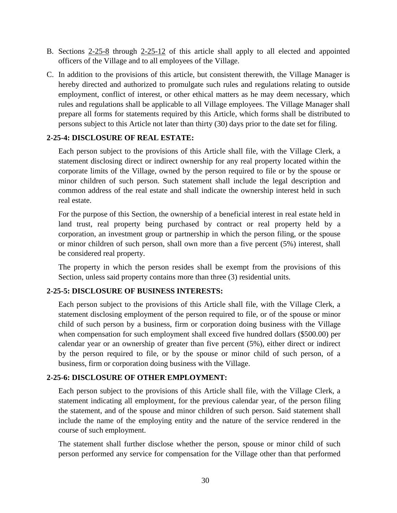- B. Sections [2-25-8](http://www.sterlingcodifiers.com/codebook/?ft=3&find=2-25-8) through [2-25-12](http://www.sterlingcodifiers.com/codebook/?ft=3&find=2-25-12) of this article shall apply to all elected and appointed officers of the Village and to all employees of the Village.
- C. In addition to the provisions of this article, but consistent therewith, the Village Manager is hereby directed and authorized to promulgate such rules and regulations relating to outside employment, conflict of interest, or other ethical matters as he may deem necessary, which rules and regulations shall be applicable to all Village employees. The Village Manager shall prepare all forms for statements required by this Article, which forms shall be distributed to persons subject to this Article not later than thirty (30) days prior to the date set for filing.

#### **2-25-4: DISCLOSURE OF REAL ESTATE:**

Each person subject to the provisions of this Article shall file, with the Village Clerk, a statement disclosing direct or indirect ownership for any real property located within the corporate limits of the Village, owned by the person required to file or by the spouse or minor children of such person. Such statement shall include the legal description and common address of the real estate and shall indicate the ownership interest held in such real estate.

For the purpose of this Section, the ownership of a beneficial interest in real estate held in land trust, real property being purchased by contract or real property held by a corporation, an investment group or partnership in which the person filing, or the spouse or minor children of such person, shall own more than a five percent (5%) interest, shall be considered real property.

The property in which the person resides shall be exempt from the provisions of this Section, unless said property contains more than three (3) residential units.

#### **2-25-5: DISCLOSURE OF BUSINESS INTERESTS:**

Each person subject to the provisions of this Article shall file, with the Village Clerk, a statement disclosing employment of the person required to file, or of the spouse or minor child of such person by a business, firm or corporation doing business with the Village when compensation for such employment shall exceed five hundred dollars (\$500.00) per calendar year or an ownership of greater than five percent (5%), either direct or indirect by the person required to file, or by the spouse or minor child of such person, of a business, firm or corporation doing business with the Village.

### **2-25-6: DISCLOSURE OF OTHER EMPLOYMENT:**

Each person subject to the provisions of this Article shall file, with the Village Clerk, a statement indicating all employment, for the previous calendar year, of the person filing the statement, and of the spouse and minor children of such person. Said statement shall include the name of the employing entity and the nature of the service rendered in the course of such employment.

The statement shall further disclose whether the person, spouse or minor child of such person performed any service for compensation for the Village other than that performed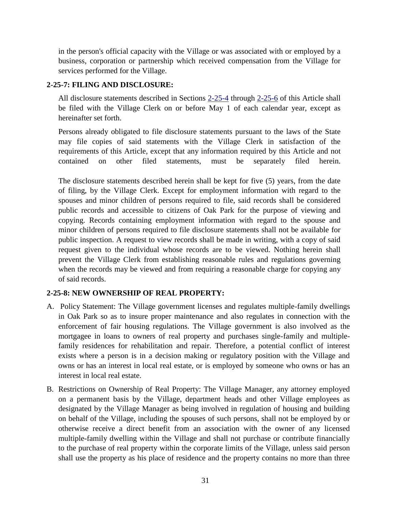in the person's official capacity with the Village or was associated with or employed by a business, corporation or partnership which received compensation from the Village for services performed for the Village.

#### **2-25-7: FILING AND DISCLOSURE:**

All disclosure statements described in Sections [2-25-4](http://www.sterlingcodifiers.com/codebook/?ft=3&find=2-25-4) through [2-25-6](http://www.sterlingcodifiers.com/codebook/?ft=3&find=2-25-6) of this Article shall be filed with the Village Clerk on or before May 1 of each calendar year, except as hereinafter set forth.

Persons already obligated to file disclosure statements pursuant to the laws of the State may file copies of said statements with the Village Clerk in satisfaction of the requirements of this Article, except that any information required by this Article and not contained on other filed statements, must be separately filed herein.

The disclosure statements described herein shall be kept for five (5) years, from the date of filing, by the Village Clerk. Except for employment information with regard to the spouses and minor children of persons required to file, said records shall be considered public records and accessible to citizens of Oak Park for the purpose of viewing and copying. Records containing employment information with regard to the spouse and minor children of persons required to file disclosure statements shall not be available for public inspection. A request to view records shall be made in writing, with a copy of said request given to the individual whose records are to be viewed. Nothing herein shall prevent the Village Clerk from establishing reasonable rules and regulations governing when the records may be viewed and from requiring a reasonable charge for copying any of said records.

#### **2-25-8: NEW OWNERSHIP OF REAL PROPERTY:**

- A. Policy Statement: The Village government licenses and regulates multiple-family dwellings in Oak Park so as to insure proper maintenance and also regulates in connection with the enforcement of fair housing regulations. The Village government is also involved as the mortgagee in loans to owners of real property and purchases single-family and multiplefamily residences for rehabilitation and repair. Therefore, a potential conflict of interest exists where a person is in a decision making or regulatory position with the Village and owns or has an interest in local real estate, or is employed by someone who owns or has an interest in local real estate.
- B. Restrictions on Ownership of Real Property: The Village Manager, any attorney employed on a permanent basis by the Village, department heads and other Village employees as designated by the Village Manager as being involved in regulation of housing and building on behalf of the Village, including the spouses of such persons, shall not be employed by or otherwise receive a direct benefit from an association with the owner of any licensed multiple-family dwelling within the Village and shall not purchase or contribute financially to the purchase of real property within the corporate limits of the Village, unless said person shall use the property as his place of residence and the property contains no more than three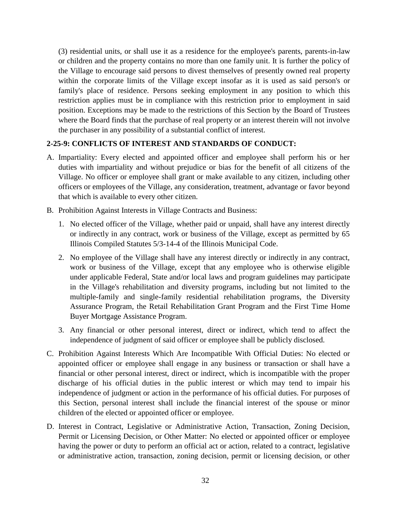(3) residential units, or shall use it as a residence for the employee's parents, parents-in-law or children and the property contains no more than one family unit. It is further the policy of the Village to encourage said persons to divest themselves of presently owned real property within the corporate limits of the Village except insofar as it is used as said person's or family's place of residence. Persons seeking employment in any position to which this restriction applies must be in compliance with this restriction prior to employment in said position. Exceptions may be made to the restrictions of this Section by the Board of Trustees where the Board finds that the purchase of real property or an interest therein will not involve the purchaser in any possibility of a substantial conflict of interest.

#### **2-25-9: CONFLICTS OF INTEREST AND STANDARDS OF CONDUCT:**

- A. Impartiality: Every elected and appointed officer and employee shall perform his or her duties with impartiality and without prejudice or bias for the benefit of all citizens of the Village. No officer or employee shall grant or make available to any citizen, including other officers or employees of the Village, any consideration, treatment, advantage or favor beyond that which is available to every other citizen.
- B. Prohibition Against Interests in Village Contracts and Business:
	- 1. No elected officer of the Village, whether paid or unpaid, shall have any interest directly or indirectly in any contract, work or business of the Village, except as permitted by 65 Illinois Compiled Statutes 5/3-14-4 of the Illinois Municipal Code.
	- 2. No employee of the Village shall have any interest directly or indirectly in any contract, work or business of the Village, except that any employee who is otherwise eligible under applicable Federal, State and/or local laws and program guidelines may participate in the Village's rehabilitation and diversity programs, including but not limited to the multiple-family and single-family residential rehabilitation programs, the Diversity Assurance Program, the Retail Rehabilitation Grant Program and the First Time Home Buyer Mortgage Assistance Program.
	- 3. Any financial or other personal interest, direct or indirect, which tend to affect the independence of judgment of said officer or employee shall be publicly disclosed.
- C. Prohibition Against Interests Which Are Incompatible With Official Duties: No elected or appointed officer or employee shall engage in any business or transaction or shall have a financial or other personal interest, direct or indirect, which is incompatible with the proper discharge of his official duties in the public interest or which may tend to impair his independence of judgment or action in the performance of his official duties. For purposes of this Section, personal interest shall include the financial interest of the spouse or minor children of the elected or appointed officer or employee.
- D. Interest in Contract, Legislative or Administrative Action, Transaction, Zoning Decision, Permit or Licensing Decision, or Other Matter: No elected or appointed officer or employee having the power or duty to perform an official act or action, related to a contract, legislative or administrative action, transaction, zoning decision, permit or licensing decision, or other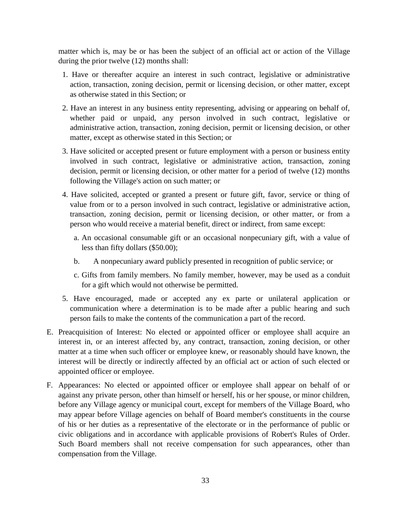matter which is, may be or has been the subject of an official act or action of the Village during the prior twelve (12) months shall:

- 1. Have or thereafter acquire an interest in such contract, legislative or administrative action, transaction, zoning decision, permit or licensing decision, or other matter, except as otherwise stated in this Section; or
- 2. Have an interest in any business entity representing, advising or appearing on behalf of, whether paid or unpaid, any person involved in such contract, legislative or administrative action, transaction, zoning decision, permit or licensing decision, or other matter, except as otherwise stated in this Section; or
- 3. Have solicited or accepted present or future employment with a person or business entity involved in such contract, legislative or administrative action, transaction, zoning decision, permit or licensing decision, or other matter for a period of twelve (12) months following the Village's action on such matter; or
- 4. Have solicited, accepted or granted a present or future gift, favor, service or thing of value from or to a person involved in such contract, legislative or administrative action, transaction, zoning decision, permit or licensing decision, or other matter, or from a person who would receive a material benefit, direct or indirect, from same except:
	- a. An occasional consumable gift or an occasional nonpecuniary gift, with a value of less than fifty dollars (\$50.00);
	- b. A nonpecuniary award publicly presented in recognition of public service; or
	- c. Gifts from family members. No family member, however, may be used as a conduit for a gift which would not otherwise be permitted.
- 5. Have encouraged, made or accepted any ex parte or unilateral application or communication where a determination is to be made after a public hearing and such person fails to make the contents of the communication a part of the record.
- E. Preacquisition of Interest: No elected or appointed officer or employee shall acquire an interest in, or an interest affected by, any contract, transaction, zoning decision, or other matter at a time when such officer or employee knew, or reasonably should have known, the interest will be directly or indirectly affected by an official act or action of such elected or appointed officer or employee.
- F. Appearances: No elected or appointed officer or employee shall appear on behalf of or against any private person, other than himself or herself, his or her spouse, or minor children, before any Village agency or municipal court, except for members of the Village Board, who may appear before Village agencies on behalf of Board member's constituents in the course of his or her duties as a representative of the electorate or in the performance of public or civic obligations and in accordance with applicable provisions of Robert's Rules of Order. Such Board members shall not receive compensation for such appearances, other than compensation from the Village.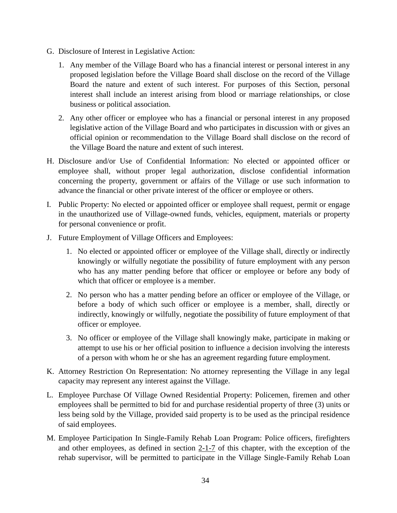- G. Disclosure of Interest in Legislative Action:
	- 1. Any member of the Village Board who has a financial interest or personal interest in any proposed legislation before the Village Board shall disclose on the record of the Village Board the nature and extent of such interest. For purposes of this Section, personal interest shall include an interest arising from blood or marriage relationships, or close business or political association.
	- 2. Any other officer or employee who has a financial or personal interest in any proposed legislative action of the Village Board and who participates in discussion with or gives an official opinion or recommendation to the Village Board shall disclose on the record of the Village Board the nature and extent of such interest.
- H. Disclosure and/or Use of Confidential Information: No elected or appointed officer or employee shall, without proper legal authorization, disclose confidential information concerning the property, government or affairs of the Village or use such information to advance the financial or other private interest of the officer or employee or others.
- I. Public Property: No elected or appointed officer or employee shall request, permit or engage in the unauthorized use of Village-owned funds, vehicles, equipment, materials or property for personal convenience or profit.
- J. Future Employment of Village Officers and Employees:
	- 1. No elected or appointed officer or employee of the Village shall, directly or indirectly knowingly or wilfully negotiate the possibility of future employment with any person who has any matter pending before that officer or employee or before any body of which that officer or employee is a member.
	- 2. No person who has a matter pending before an officer or employee of the Village, or before a body of which such officer or employee is a member, shall, directly or indirectly, knowingly or wilfully, negotiate the possibility of future employment of that officer or employee.
	- 3. No officer or employee of the Village shall knowingly make, participate in making or attempt to use his or her official position to influence a decision involving the interests of a person with whom he or she has an agreement regarding future employment.
- K. Attorney Restriction On Representation: No attorney representing the Village in any legal capacity may represent any interest against the Village.
- L. Employee Purchase Of Village Owned Residential Property: Policemen, firemen and other employees shall be permitted to bid for and purchase residential property of three (3) units or less being sold by the Village, provided said property is to be used as the principal residence of said employees.
- M. Employee Participation In Single-Family Rehab Loan Program: Police officers, firefighters and other employees, as defined in section [2-1-7](http://www.sterlingcodifiers.com/codebook/?ft=3&find=2-1-7) of this chapter, with the exception of the rehab supervisor, will be permitted to participate in the Village Single-Family Rehab Loan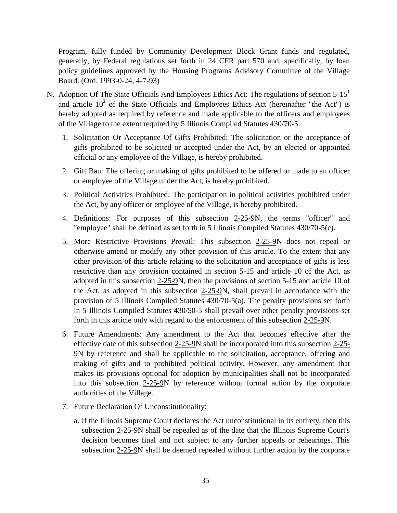Program, fully funded by Community Development Block Grant funds and regulated, generally, by Federal regulations set forth in 24 CFR part 570 and, specifically, by loan policy guidelines approved by the Housing Programs Advisory Committee of the Village Board. (Ord. 1993-0-24, 4-7-93)

- N. Adoption Of The State Officials And Employees Ethics Act: The regulations of section 5-15**[1](http://www.sterlingcodifiers.com/codebook/getBookData.php?id=&chapter_id=20297&keywords=#Footnote1#Footnote1)** and article  $10^2$  $10^2$  of the State Officials and Employees Ethics Act (hereinafter "the Act") is hereby adopted as required by reference and made applicable to the officers and employees of the Village to the extent required by 5 Illinois Compiled Statutes 430/70-5.
	- 1. Solicitation Or Acceptance Of Gifts Prohibited: The solicitation or the acceptance of gifts prohibited to be solicited or accepted under the Act, by an elected or appointed official or any employee of the Village, is hereby prohibited.
	- 2. Gift Ban: The offering or making of gifts prohibited to be offered or made to an officer or employee of the Village under the Act, is hereby prohibited.
	- 3. Political Activities Prohibited: The participation in political activities prohibited under the Act, by any officer or employee of the Village, is hereby prohibited.
	- 4. Definitions: For purposes of this subsection [2-25-9N](http://www.sterlingcodifiers.com/codebook/?ft=3&find=2-25-9), the terms "officer" and "employee" shall be defined as set forth in 5 Illinois Compiled Statutes 430/70-5(c).
	- 5. More Restrictive Provisions Prevail: This subsection [2-25-9N](http://www.sterlingcodifiers.com/codebook/?ft=3&find=2-25-9) does not repeal or otherwise amend or modify any other provision of this article. To the extent that any other provision of this article relating to the solicitation and acceptance of gifts is less restrictive than any provision contained in section 5-15 and article 10 of the Act, as adopted in this subsection [2-25-9N](http://www.sterlingcodifiers.com/codebook/?ft=3&find=2-25-9), then the provisions of section 5-15 and article 10 of the Act, as adopted in this subsection  $2-25-9N$ , shall prevail in accordance with the provision of 5 Illinois Compiled Statutes 430/70-5(a). The penalty provisions set forth in 5 Illinois Compiled Statutes 430/50-5 shall prevail over other penalty provisions set forth in this article only with regard to the enforcement of this subsection [2-25-9N](http://www.sterlingcodifiers.com/codebook/?ft=3&find=2-25-9).
	- 6. Future Amendments: Any amendment to the Act that becomes effective after the effective date of this subsection [2-25-9N](http://www.sterlingcodifiers.com/codebook/?ft=3&find=2-25-9) shall be incorporated into this subsection [2-25-](http://www.sterlingcodifiers.com/codebook/?ft=3&find=2-25-9) [9N](http://www.sterlingcodifiers.com/codebook/?ft=3&find=2-25-9) by reference and shall be applicable to the solicitation, acceptance, offering and making of gifts and to prohibited political activity. However, any amendment that makes its provisions optional for adoption by municipalities shall not be incorporated into this subsection [2-25-9N](http://www.sterlingcodifiers.com/codebook/?ft=3&find=2-25-9) by reference without formal action by the corporate authorities of the Village.
	- 7. Future Declaration Of Unconstitutionality:
		- a. If the Illinois Supreme Court declares the Act unconstitutional in its entirety, then this subsection [2-25-9N](http://www.sterlingcodifiers.com/codebook/?ft=3&find=2-25-9) shall be repealed as of the date that the Illinois Supreme Court's decision becomes final and not subject to any further appeals or rehearings. This subsection [2-25-9N](http://www.sterlingcodifiers.com/codebook/?ft=3&find=2-25-9) shall be deemed repealed without further action by the corporate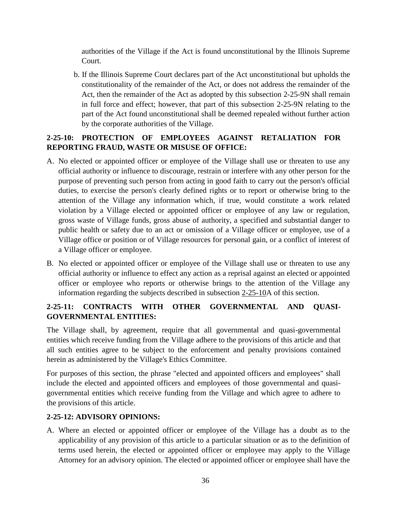authorities of the Village if the Act is found unconstitutional by the Illinois Supreme Court.

b. If the Illinois Supreme Court declares part of the Act unconstitutional but upholds the constitutionality of the remainder of the Act, or does not address the remainder of the Act, then the remainder of the Act as adopted by this subsection 2-25-9N shall remain in full force and effect; however, that part of this subsection 2-25-9N relating to the part of the Act found unconstitutional shall be deemed repealed without further action by the corporate authorities of the Village.

## **2-25-10: PROTECTION OF EMPLOYEES AGAINST RETALIATION FOR REPORTING FRAUD, WASTE OR MISUSE OF OFFICE:**

- A. No elected or appointed officer or employee of the Village shall use or threaten to use any official authority or influence to discourage, restrain or interfere with any other person for the purpose of preventing such person from acting in good faith to carry out the person's official duties, to exercise the person's clearly defined rights or to report or otherwise bring to the attention of the Village any information which, if true, would constitute a work related violation by a Village elected or appointed officer or employee of any law or regulation, gross waste of Village funds, gross abuse of authority, a specified and substantial danger to public health or safety due to an act or omission of a Village officer or employee, use of a Village office or position or of Village resources for personal gain, or a conflict of interest of a Village officer or employee.
- B. No elected or appointed officer or employee of the Village shall use or threaten to use any official authority or influence to effect any action as a reprisal against an elected or appointed officer or employee who reports or otherwise brings to the attention of the Village any information regarding the subjects described in subsection [2-25-10A](http://www.sterlingcodifiers.com/codebook/?ft=3&find=2-25-10) of this section.

## **2-25-11: CONTRACTS WITH OTHER GOVERNMENTAL AND QUASI-GOVERNMENTAL ENTITIES:**

The Village shall, by agreement, require that all governmental and quasi-governmental entities which receive funding from the Village adhere to the provisions of this article and that all such entities agree to be subject to the enforcement and penalty provisions contained herein as administered by the Village's Ethics Committee.

For purposes of this section, the phrase "elected and appointed officers and employees" shall include the elected and appointed officers and employees of those governmental and quasigovernmental entities which receive funding from the Village and which agree to adhere to the provisions of this article.

#### **2-25-12: ADVISORY OPINIONS:**

A. Where an elected or appointed officer or employee of the Village has a doubt as to the applicability of any provision of this article to a particular situation or as to the definition of terms used herein, the elected or appointed officer or employee may apply to the Village Attorney for an advisory opinion. The elected or appointed officer or employee shall have the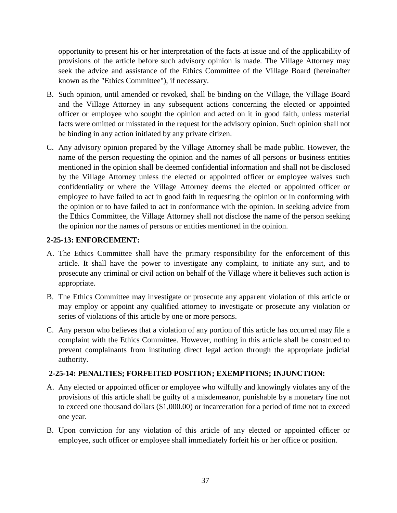opportunity to present his or her interpretation of the facts at issue and of the applicability of provisions of the article before such advisory opinion is made. The Village Attorney may seek the advice and assistance of the Ethics Committee of the Village Board (hereinafter known as the "Ethics Committee"), if necessary.

- B. Such opinion, until amended or revoked, shall be binding on the Village, the Village Board and the Village Attorney in any subsequent actions concerning the elected or appointed officer or employee who sought the opinion and acted on it in good faith, unless material facts were omitted or misstated in the request for the advisory opinion. Such opinion shall not be binding in any action initiated by any private citizen.
- C. Any advisory opinion prepared by the Village Attorney shall be made public. However, the name of the person requesting the opinion and the names of all persons or business entities mentioned in the opinion shall be deemed confidential information and shall not be disclosed by the Village Attorney unless the elected or appointed officer or employee waives such confidentiality or where the Village Attorney deems the elected or appointed officer or employee to have failed to act in good faith in requesting the opinion or in conforming with the opinion or to have failed to act in conformance with the opinion. In seeking advice from the Ethics Committee, the Village Attorney shall not disclose the name of the person seeking the opinion nor the names of persons or entities mentioned in the opinion.

#### **2-25-13: ENFORCEMENT:**

- A. The Ethics Committee shall have the primary responsibility for the enforcement of this article. It shall have the power to investigate any complaint, to initiate any suit, and to prosecute any criminal or civil action on behalf of the Village where it believes such action is appropriate.
- B. The Ethics Committee may investigate or prosecute any apparent violation of this article or may employ or appoint any qualified attorney to investigate or prosecute any violation or series of violations of this article by one or more persons.
- C. Any person who believes that a violation of any portion of this article has occurred may file a complaint with the Ethics Committee. However, nothing in this article shall be construed to prevent complainants from instituting direct legal action through the appropriate judicial authority.

#### **2-25-14: PENALTIES; FORFEITED POSITION; EXEMPTIONS; INJUNCTION:**

- A. Any elected or appointed officer or employee who wilfully and knowingly violates any of the provisions of this article shall be guilty of a misdemeanor, punishable by a monetary fine not to exceed one thousand dollars (\$1,000.00) or incarceration for a period of time not to exceed one year.
- B. Upon conviction for any violation of this article of any elected or appointed officer or employee, such officer or employee shall immediately forfeit his or her office or position.